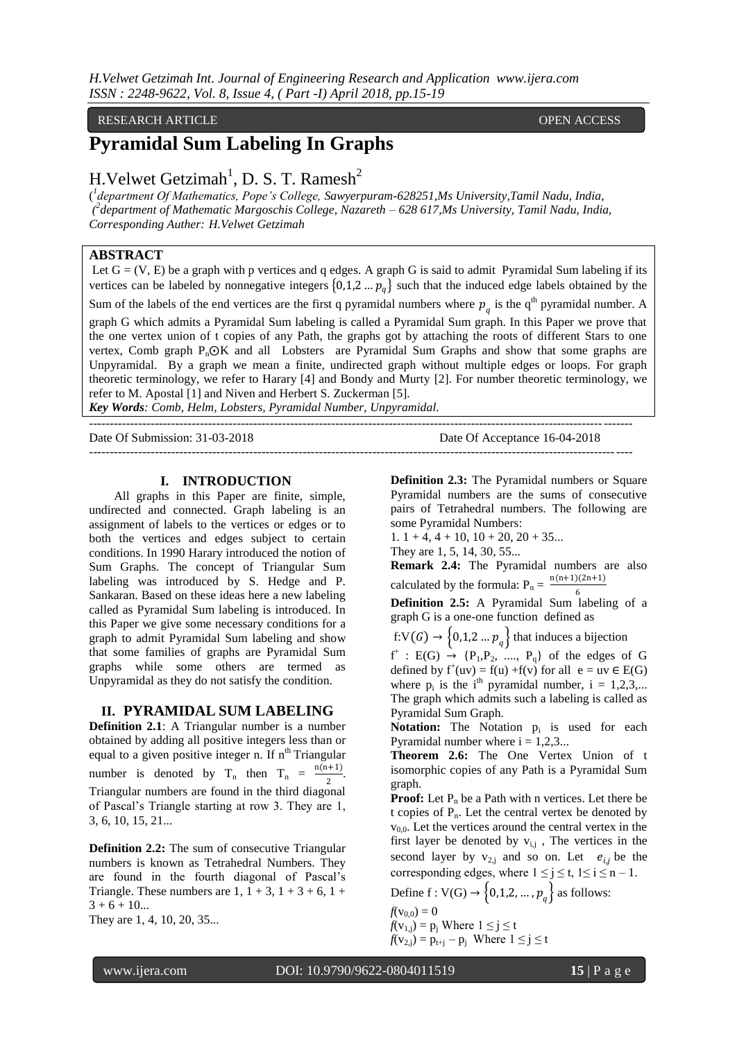## RESEARCH ARTICLE **The CONSTRUCTION CONSTRUCTS** OPEN ACCESS

## **Pyramidal Sum Labeling In Graphs**

# H. Velwet Getzimah<sup>1</sup>, D. S. T. Ramesh<sup>2</sup>

( *1 department Of Mathematics, Pope's College, Sawyerpuram-628251,Ms University,Tamil Nadu, India, ( 2 department of Mathematic Margoschis College, Nazareth – 628 617,Ms University, Tamil Nadu, India, Corresponding Auther: H.Velwet Getzimah*

## **ABSTRACT**

Let  $G = (V, E)$  be a graph with p vertices and q edges. A graph G is said to admit Pyramidal Sum labeling if its vertices can be labeled by nonnegative integers  $\{0,1,2 \dots p_q\}$  such that the induced edge labels obtained by the

Sum of the labels of the end vertices are the first q pyramidal numbers where  $p_q$  is the  $q^{th}$  pyramidal number. A graph G which admits a Pyramidal Sum labeling is called a Pyramidal Sum graph. In this Paper we prove that the one vertex union of t copies of any Path, the graphs got by attaching the roots of different Stars to one vertex, Comb graph  $P_nQK$  and all Lobsters are Pyramidal Sum Graphs and show that some graphs are Unpyramidal. By a graph we mean a finite, undirected graph without multiple edges or loops. For graph theoretic terminology, we refer to Harary [4] and Bondy and Murty [2]. For number theoretic terminology, we refer to M. Apostal [1] and Niven and Herbert S. Zuckerman [5].

------------------------------------------------------------------------------------------------------------------------------------

*Key Words: Comb, Helm, Lobsters, Pyramidal Number, Unpyramidal.*

Date Of Submission: 31-03-2018 Date Of Acceptance 16-04-2018

------------------------------------------------------------------------------------------------------------------------------------

#### **I. INTRODUCTION**

 All graphs in this Paper are finite, simple, undirected and connected. Graph labeling is an assignment of labels to the vertices or edges or to both the vertices and edges subject to certain conditions. In 1990 Harary introduced the notion of Sum Graphs. The concept of Triangular Sum labeling was introduced by S. Hedge and P. Sankaran. Based on these ideas here a new labeling called as Pyramidal Sum labeling is introduced. In this Paper we give some necessary conditions for a graph to admit Pyramidal Sum labeling and show that some families of graphs are Pyramidal Sum graphs while some others are termed as Unpyramidal as they do not satisfy the condition.

#### **II. PYRAMIDAL SUM LABELING**

**Definition 2.1**: A Triangular number is a number obtained by adding all positive integers less than or equal to a given positive integer n. If  $n<sup>th</sup>$  Triangular number is denoted by T<sub>n</sub> then T<sub>n</sub> =  $\frac{n(n+1)}{2}$  $\frac{1}{2}$ . Triangular numbers are found in the third diagonal of Pascal's Triangle starting at row 3. They are 1, 3, 6, 10, 15, 21...

**Definition 2.2:** The sum of consecutive Triangular numbers is known as Tetrahedral Numbers. They are found in the fourth diagonal of Pascal's Triangle. These numbers are  $1, 1 + 3, 1 + 3 + 6, 1 +$  $3 + 6 + 10...$ 

They are 1, 4, 10, 20, 35...

**Definition 2.3:** The Pyramidal numbers or Square Pyramidal numbers are the sums of consecutive pairs of Tetrahedral numbers. The following are some Pyramidal Numbers:

1.  $1 + 4$ ,  $4 + 10$ ,  $10 + 20$ ,  $20 + 35$ ...

They are 1, 5, 14, 30, 55...

**Remark 2.4:** The Pyramidal numbers are also calculated by the formula:  $P_n = \frac{n(n+1)(2n+1)}{6}$ 

6 **Definition 2.5:** A Pyramidal Sum labeling of a graph G is a one-one function defined as

f:V(G)  $\rightarrow$  {0,1,2 ...  $p_q$ } that induces a bijection

 $f^{\dagger}$  : E(G)  $\rightarrow$  {P<sub>1</sub>,P<sub>2</sub>, ..., P<sub>q</sub>} of the edges of G defined by  $f^+(uv) = f(u) + f(v)$  for all  $e = uv \in E(G)$ where  $p_i$  is the i<sup>th</sup> pyramidal number, i = 1,2,3,... The graph which admits such a labeling is called as Pyramidal Sum Graph.

**Notation:** The Notation  $p_i$  is used for each Pyramidal number where  $i = 1,2,3...$ 

**Theorem 2.6:** The One Vertex Union of t isomorphic copies of any Path is a Pyramidal Sum graph.

**Proof:** Let  $P_n$  be a Path with n vertices. Let there be t copies of  $P_n$ . Let the central vertex be denoted by  $v_{0,0}$ . Let the vertices around the central vertex in the first layer be denoted by  $v_{i,j}$ , The vertices in the second layer by  $v_{2,j}$  and so on. Let  $e_{i,j}$  be the corresponding edges, where  $1 \le j \le t$ ,  $1 \le i \le n - 1$ .

Define  $f: V(G) \rightarrow \{0,1,2,..., p_q\}$  as follows:  $f(v_{0,0}) = 0$ 

 $f(v_{1,j}) = p_j$  Where  $1 \le j \le t$ 

 $f(v_{2,j}) = p_{t+j} - p_j$  Where  $1 \le j \le t$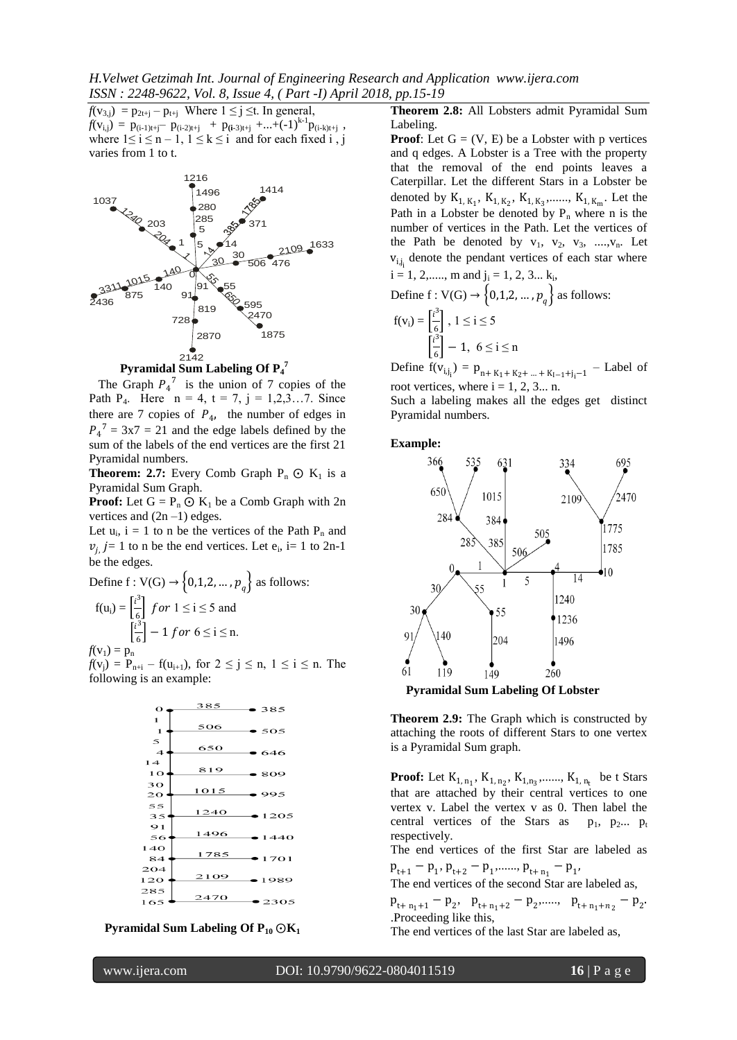*H.Velwet Getzimah Int. Journal of Engineering Research and Application www.ijera.com ISSN : 2248-9622, Vol. 8, Issue 4, ( Part -I) April 2018, pp.15-19*

 $f(v_{3,j}) = p_{2t+j} - p_{t+j}$  Where  $1 \le j \le t$ . In general,  $f(v_{i,j}) = p_{(i-1)t+j} - p_{(i-2)t+j} + p_{(i-3)t+j} + ... + (-1)^{k-1} p_{(i-k)t+j}$ , where  $1 \le i \le n - 1$ ,  $1 \le k \le i$  and for each fixed i, j varies from 1 to t.



The Graph  $P_4^7$  is the union of 7 copies of the Path P<sub>4</sub>. Here  $n = 4$ ,  $t = 7$ ,  $j = 1,2,3...7$ . Since there are 7 copies of  $P_4$ , the number of edges in  $P_4^7 = 3x7 = 21$  and the edge labels defined by the sum of the labels of the end vertices are the first 21 Pyramidal numbers.

**Theorem: 2.7:** Every Comb Graph  $P_n \odot K_1$  is a Pyramidal Sum Graph.

**Proof:** Let  $G = P_n \odot K_1$  be a Comb Graph with 2n vertices and  $(2n-1)$  edges.

Let  $u_i$ ,  $i = 1$  to n be the vertices of the Path  $P_n$  and  $v_{j}$ ,  $j=1$  to n be the end vertices. Let  $e_{i}$ ,  $i=1$  to  $2n-1$ be the edges.

Define f: V(G) 
$$
\rightarrow
$$
 {0,1,2, ...,  $p_q$ } as follows:  
\n
$$
f(u_i) = \left[\frac{i^3}{6}\right] \text{ for } 1 \le i \le 5 \text{ and}
$$
\n
$$
\left[\frac{i^3}{6}\right] - 1 \text{ for } 6 \le i \le n.
$$
\n
$$
f(v_1) = p_n
$$

 $f(v_j) = P_{n+i} - f(u_{i+1})$ , for  $2 \le j \le n$ ,  $1 \le i \le n$ . The following is an example:



#### **Pyramidal Sum Labeling Of**  $P_{10}$  $\odot$  **K<sub>1</sub>**

**Theorem 2.8:** All Lobsters admit Pyramidal Sum Labeling.

**Proof**: Let  $G = (V, E)$  be a Lobster with p vertices and q edges. A Lobster is a Tree with the property that the removal of the end points leaves a Caterpillar. Let the different Stars in a Lobster be denoted by  $K_{1, K_1}, K_{1, K_2}, K_{1, K_3}, \ldots, K_{1, K_m}$ . Let the Path in a Lobster be denoted by  $P_n$  where n is the number of vertices in the Path. Let the vertices of the Path be denoted by  $v_1$ ,  $v_2$ ,  $v_3$ , ...., $v_n$ . Let  $v_{i,j}$  denote the pendant vertices of each star where  $i = 1, 2, \dots, m$  and  $j_i = 1, 2, 3 \dots k_i$ ,

Define 
$$
f: V(G) \rightarrow \{0,1,2,..., p_q\}
$$
 as follows:  
\n
$$
f(v_i) = \left[\frac{i^3}{6}\right], 1 \le i \le 5
$$
\n
$$
\left[\frac{i^3}{6}\right] - 1, 6 \le i \le n
$$

Define  $f(v_{i,j_i}) = p_{n+K_1+K_2+\dots+K_{l-1}+j_i-1}$  – Label of root vertices, where  $i = 1, 2, 3...$  n.

Such a labeling makes all the edges get distinct Pyramidal numbers.

**Example:**



**Pyramidal Sum Labeling Of Lobster**

**Theorem 2.9:** The Graph which is constructed by attaching the roots of different Stars to one vertex is a Pyramidal Sum graph.

**Proof:** Let  $K_{1, n_1}, K_{1, n_2}, K_{1, n_3}, \ldots, K_{1, n_t}$  be t Stars that are attached by their central vertices to one vertex v. Label the vertex v as 0. Then label the central vertices of the Stars as  $p_1$ ,  $p_2$ ...  $p_t$ respectively.

The end vertices of the first Star are labeled as  $p_{t+1} - p_1, p_{t+2} - p_1, \dots, p_{t+n_1} - p_1,$ 

The end vertices of the second Star are labeled as,

 $p_{t+n_1+1} - p_2, \quad p_{t+n_1+2} - p_2, \dots, \quad p_{t+n_1+n_2} - p_2.$ .Proceeding like this,

The end vertices of the last Star are labeled as,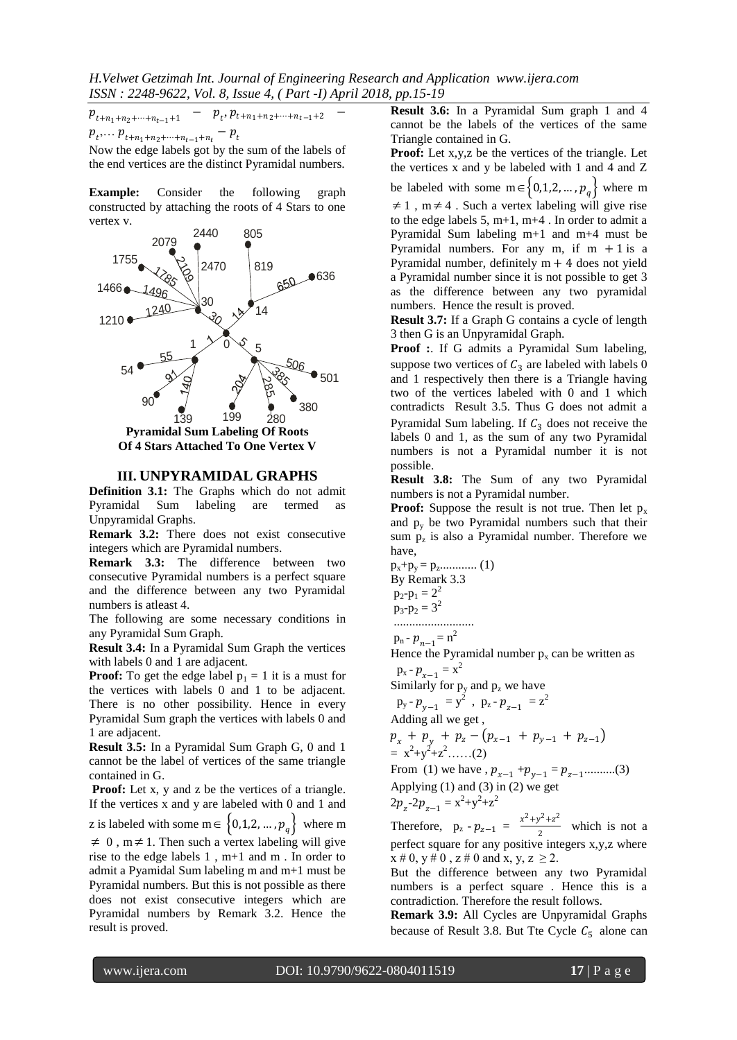$p_{t+n_1+n_2+\cdots+n_{t-1}+1}$  -  $p_t, p_{t+n_1+n_2+\cdots+n_{t-1}+2}$  -

$$
p_{t},\ldots p_{t+n_1+n_2+\cdots+n_{t-1}+n_t}-p_t
$$

Now the edge labels got by the sum of the labels of the end vertices are the distinct Pyramidal numbers.

**Example:** Consider the following graph constructed by attaching the roots of 4 Stars to one vertex v.



**Of 4 Stars Attached To One Vertex V**

### **III. UNPYRAMIDAL GRAPHS**

**Definition 3.1:** The Graphs which do not admit Pyramidal Sum labeling are termed as Unpyramidal Graphs.

**Remark 3.2:** There does not exist consecutive integers which are Pyramidal numbers.

**Remark 3.3:** The difference between two consecutive Pyramidal numbers is a perfect square and the difference between any two Pyramidal numbers is atleast 4.

The following are some necessary conditions in any Pyramidal Sum Graph.

**Result 3.4:** In a Pyramidal Sum Graph the vertices with labels 0 and 1 are adjacent.

**Proof:** To get the edge label  $p_1 = 1$  it is a must for the vertices with labels 0 and 1 to be adjacent. There is no other possibility. Hence in every Pyramidal Sum graph the vertices with labels 0 and 1 are adjacent.

**Result 3.5:** In a Pyramidal Sum Graph G, 0 and 1 cannot be the label of vertices of the same triangle contained in G.

**Proof:** Let x, y and z be the vertices of a triangle. If the vertices x and y are labeled with 0 and 1 and

z is labeled with some m  $\in \{0,1,2,\dots,p_q\}$  where m Therefore,  $p_z$ 

 $\neq 0$ , m  $\neq 1$ . Then such a vertex labeling will give rise to the edge labels 1 , m+1 and m . In order to admit a Pyamidal Sum labeling m and m+1 must be Pyramidal numbers. But this is not possible as there does not exist consecutive integers which are Pyramidal numbers by Remark 3.2. Hence the result is proved.

**Result 3.6:** In a Pyramidal Sum graph 1 and 4 cannot be the labels of the vertices of the same Triangle contained in G.

Proof: Let x,y,z be the vertices of the triangle. Let the vertices  $x$  and  $y$  be labeled with 1 and 4 and  $Z$ be labeled with some  $m \in \{0, 1, 2, ..., p_q\}$  where m  $\neq 1$ , m  $\neq 4$ . Such a vertex labeling will give rise to the edge labels  $5, m+1, m+4$ . In order to admit a Pyramidal Sum labeling m+1 and m+4 must be Pyramidal numbers. For any m, if  $m + 1$  is a Pyramidal number, definitely  $m + 4$  does not yield a Pyramidal number since it is not possible to get 3 as the difference between any two pyramidal numbers. Hence the result is proved.

**Result 3.7:** If a Graph G contains a cycle of length 3 then G is an Unpyramidal Graph.

**Proof** :. If G admits a Pyramidal Sum labeling, suppose two vertices of  $C_3$  are labeled with labels 0 and 1 respectively then there is a Triangle having two of the vertices labeled with 0 and 1 which contradicts Result 3.5. Thus G does not admit a Pyramidal Sum labeling. If  $C_3$  does not receive the labels 0 and 1, as the sum of any two Pyramidal numbers is not a Pyramidal number it is not possible.

**Result 3.8:** The Sum of any two Pyramidal numbers is not a Pyramidal number.

**Proof:** Suppose the result is not true. Then let  $p_x$ and  $p_v$  be two Pyramidal numbers such that their sum  $p_z$  is also a Pyramidal number. Therefore we have,

$$
p_x + p_y = p_z
$$
........(1)  
By Remark 3.3  

$$
p_2 - p_1 = 2^2
$$

 $p_2-p_1 =$  $p_3-p_2 = 3^2$ 

..........................

 $p_n - p_{n-1} = n^2$ 

Hence the Pyramidal number  $p_x$  can be written as  $p_x - p_{x-1} = x^2$ 

Similarly for  $p_y$  and  $p_z$  we have

$$
p_y - p_{y-1} = y^2
$$
,  $p_z - p_{z-1} = z^2$ 

Adding all we get ,

$$
p_x + p_y + p_z - (p_{x-1} + p_{y-1} + p_{z-1})
$$
  
=  $x^2+y^2+z^2$ .....(2)

From (1) we have ,  $p_{x-1} + p_{y-1} = p_{z-1}$ ..........(3) Applying (1) and (3) in (2) we get

Applying (1) and (3) in (2) w  
\n
$$
2p_z - 2p_{z-1} = x^2 + y^2 + z^2
$$

Therefore,  $p_z - p_{z-1} = \frac{x^2 + y^2 + z^2}{2}$  $\frac{y+2}{2}$  which is not a perfect square for any positive integers x,y,z where  $x \# 0$ ,  $y \# 0$ ,  $z \# 0$  and  $x$ ,  $y$ ,  $z \ge 2$ .

But the difference between any two Pyramidal numbers is a perfect square . Hence this is a contradiction. Therefore the result follows.

**Remark 3.9:** All Cycles are Unpyramidal Graphs because of Result 3.8. But Tte Cycle  $C_5$  alone can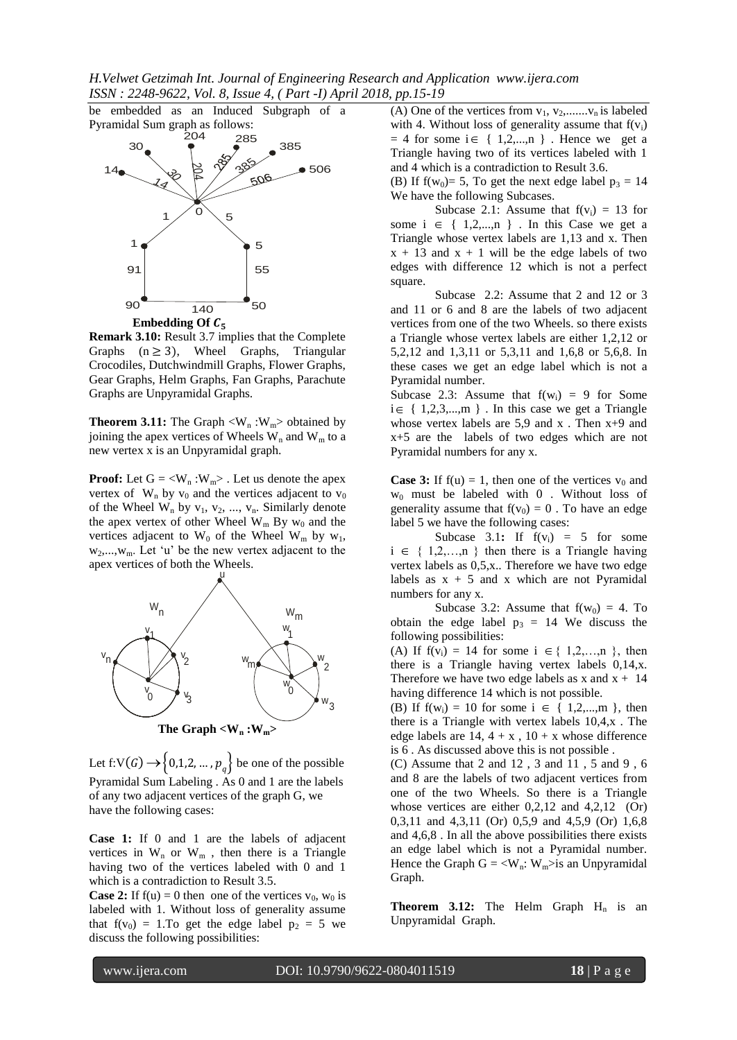be embedded as an Induced Subgraph of a Pyramidal Sum graph as follows:



**Remark 3.10:** Result 3.7 implies that the Complete Graphs  $(n \geq 3)$ , Wheel Graphs, Triangular Crocodiles, Dutchwindmill Graphs, Flower Graphs, Gear Graphs, Helm Graphs, Fan Graphs, Parachute Graphs are Unpyramidal Graphs.

**Theorem 3.11:** The Graph  $\langle W_n : W_m \rangle$  obtained by joining the apex vertices of Wheels  $W_n$  and  $W_m$  to a new vertex x is an Unpyramidal graph.

**Proof:** Let  $G = \langle W_n : W_m \rangle$ . Let us denote the apex vertex of  $W_n$  by  $v_0$  and the vertices adjacent to  $v_0$ of the Wheel  $W_n$  by  $v_1, v_2, ..., v_n$ . Similarly denote the apex vertex of other Wheel  $W_m$  By  $w_0$  and the vertices adjacent to  $W_0$  of the Wheel  $W_m$  by  $W_1$ ,  $w_2,...,w_m$ . Let 'u' be the new vertex adjacent to the apex vertices of both the Wheels.



Let  $f: V(G) \rightarrow \{0,1,2,..., p_q\}$  be one of the possible (C) Assume that 2 and Pyramidal Sum Labeling . As 0 and 1 are the labels of any two adjacent vertices of the graph G, we have the following cases:

**Case 1:** If 0 and 1 are the labels of adjacent vertices in  $W_n$  or  $W_m$ , then there is a Triangle having two of the vertices labeled with 0 and 1 which is a contradiction to Result 3.5.

**Case 2:** If  $f(u) = 0$  then one of the vertices  $v_0$ ,  $w_0$  is labeled with 1. Without loss of generality assume that  $f(v_0) = 1$ . To get the edge label  $p_2 = 5$  we discuss the following possibilities:

(A) One of the vertices from  $v_1, v_2, \ldots, v_n$  is labeled with 4. Without loss of generality assume that  $f(v_i)$  $= 4$  for some  $i \in \{1, 2, ..., n\}$ . Hence we get a Triangle having two of its vertices labeled with 1 and 4 which is a contradiction to Result 3.6.

(B) If  $f(w_0) = 5$ , To get the next edge label  $p_3 = 14$ We have the following Subcases.

Subcase 2.1: Assume that  $f(v_i) = 13$  for some  $i \in \{ 1,2,...,n \}$ . In this Case we get a Triangle whose vertex labels are 1,13 and x. Then  $x + 13$  and  $x + 1$  will be the edge labels of two edges with difference 12 which is not a perfect square.

Subcase 2.2: Assume that 2 and 12 or 3 and 11 or 6 and 8 are the labels of two adjacent vertices from one of the two Wheels. so there exists a Triangle whose vertex labels are either 1,2,12 or 5,2,12 and 1,3,11 or 5,3,11 and 1,6,8 or 5,6,8. In these cases we get an edge label which is not a Pyramidal number.

Subcase 2.3: Assume that  $f(w_i) = 9$  for Some  $i \in \{1, 2, 3, \ldots, m\}$ . In this case we get a Triangle whose vertex labels are 5,9 and x . Then x+9 and x+5 are the labels of two edges which are not Pyramidal numbers for any x.

**Case 3:** If  $f(u) = 1$ , then one of the vertices  $v_0$  and  $w_0$  must be labeled with 0. Without loss of generality assume that  $f(v_0) = 0$ . To have an edge label 5 we have the following cases:

Subcase 3.1: If  $f(v_i) = 5$  for some  $i \in \{ 1,2,...,n \}$  then there is a Triangle having vertex labels as 0,5,x.. Therefore we have two edge labels as  $x + 5$  and x which are not Pyramidal numbers for any x.

Subcase 3.2: Assume that  $f(w_0) = 4$ . To obtain the edge label  $p_3 = 14$  We discuss the following possibilities:

(A) If  $f(v_i) = 14$  for some  $i \in \{1, 2, ..., n\}$ , then there is a Triangle having vertex labels 0,14,x. Therefore we have two edge labels as x and  $x + 14$ having difference 14 which is not possible.

(B) If  $f(w_i) = 10$  for some  $i \in \{1, 2, ..., m\}$ , then there is a Triangle with vertex labels 10,4,x . The edge labels are  $14$ ,  $4 + x$ ,  $10 + x$  whose difference is 6 . As discussed above this is not possible .

(C) Assume that 2 and 12 , 3 and 11 , 5 and 9 , 6 and 8 are the labels of two adjacent vertices from one of the two Wheels. So there is a Triangle whose vertices are either 0,2,12 and 4,2,12 (Or) 0,3,11 and 4,3,11 (Or) 0,5,9 and 4,5,9 (Or) 1,6,8 and 4,6,8 . In all the above possibilities there exists an edge label which is not a Pyramidal number. Hence the Graph  $G = \langle W_n : W_m \rangle$  is an Unpyramidal Graph.

**Theorem 3.12:** The Helm Graph  $H_n$  is an Unpyramidal Graph.